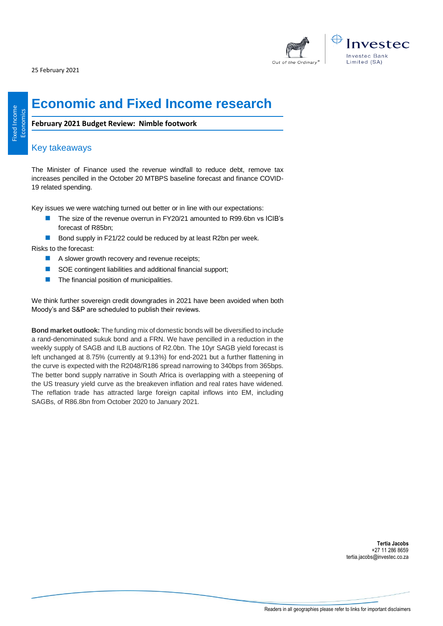25 February 2021



# **Economic and Fixed Income research**

**February 2021 Budget Review: Nimble footwork**

# Key takeaways

The Minister of Finance used the revenue windfall to reduce debt, remove tax increases pencilled in the October 20 MTBPS baseline forecast and finance COVID-19 related spending.

Key issues we were watching turned out better or in line with our expectations:

- The size of the revenue overrun in FY20/21 amounted to R99.6bn vs ICIB's forecast of R85bn;
- Bond supply in F21/22 could be reduced by at least R2bn per week.

Risks to the forecast:

- A slower growth recovery and revenue receipts;
- SOE contingent liabilities and additional financial support;
- The financial position of municipalities.

We think further sovereign credit downgrades in 2021 have been avoided when both Moody's and S&P are scheduled to publish their reviews.

**Bond market outlook:** The funding mix of domestic bonds will be diversified to include a rand-denominated sukuk bond and a FRN. We have pencilled in a reduction in the weekly supply of SAGB and ILB auctions of R2.0bn. The 10yr SAGB yield forecast is left unchanged at 8.75% (currently at 9.13%) for end-2021 but a further flattening in the curve is expected with the R2048/R186 spread narrowing to 340bps from 365bps. The better bond supply narrative in South Africa is overlapping with a steepening of the US treasury yield curve as the breakeven inflation and real rates have widened. The reflation trade has attracted large foreign capital inflows into EM, including SAGBs, of R86.8bn from October 2020 to January 2021.

> **Tertia Jacobs** +27 11 286 8659 tertia.jacobs@investec.co.za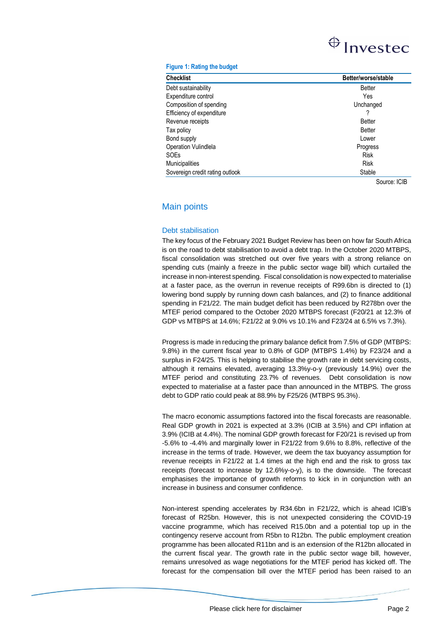# $\bigoplus$  Investec

#### **Figure 1: Rating the budget**

| <b>Checklist</b>                | Better/worse/stable |
|---------------------------------|---------------------|
| Debt sustainability             | <b>Better</b>       |
| Expenditure control             | Yes                 |
| Composition of spending         | Unchanged           |
| Efficiency of expenditure       |                     |
| Revenue receipts                | <b>Better</b>       |
| Tax policy                      | <b>Better</b>       |
| Bond supply                     | Lower               |
| Operation Vulindlela            | Progress            |
| SOEs                            | <b>Risk</b>         |
| <b>Municipalities</b>           | <b>Risk</b>         |
| Sovereign credit rating outlook | Stable              |

Source: ICIB

# Main points

### Debt stabilisation

The key focus of the February 2021 Budget Review has been on how far South Africa is on the road to debt stabilisation to avoid a debt trap. In the October 2020 MTBPS, fiscal consolidation was stretched out over five years with a strong reliance on spending cuts (mainly a freeze in the public sector wage bill) which curtailed the increase in non-interest spending. Fiscal consolidation is now expected to materialise at a faster pace, as the overrun in revenue receipts of R99.6bn is directed to (1) lowering bond supply by running down cash balances, and (2) to finance additional spending in F21/22. The main budget deficit has been reduced by R278bn over the MTEF period compared to the October 2020 MTBPS forecast (F20/21 at 12.3% of GDP vs MTBPS at 14.6%; F21/22 at 9.0% vs 10.1% and F23/24 at 6.5% vs 7.3%).

Progress is made in reducing the primary balance deficit from 7.5% of GDP (MTBPS: 9.8%) in the current fiscal year to 0.8% of GDP (MTBPS 1.4%) by F23/24 and a surplus in F24/25. This is helping to stabilise the growth rate in debt servicing costs, although it remains elevated, averaging 13.3%y-o-y (previously 14.9%) over the MTEF period and constituting 23.7% of revenues. Debt consolidation is now expected to materialise at a faster pace than announced in the MTBPS. The gross debt to GDP ratio could peak at 88.9% by F25/26 (MTBPS 95.3%).

The macro economic assumptions factored into the fiscal forecasts are reasonable. Real GDP growth in 2021 is expected at 3.3% (ICIB at 3.5%) and CPI inflation at 3.9% (ICIB at 4.4%). The nominal GDP growth forecast for F20/21 is revised up from -5.6% to -4.4% and marginally lower in F21/22 from 9.6% to 8.8%, reflective of the increase in the terms of trade. However, we deem the tax buoyancy assumption for revenue receipts in F21/22 at 1.4 times at the high end and the risk to gross tax receipts (forecast to increase by 12.6%y-o-y), is to the downside. The forecast emphasises the importance of growth reforms to kick in in conjunction with an increase in business and consumer confidence.

Non-interest spending accelerates by R34.6bn in F21/22, which is ahead ICIB's forecast of R25bn. However, this is not unexpected considering the COVID-19 vaccine programme, which has received R15.0bn and a potential top up in the contingency reserve account from R5bn to R12bn. The public employment creation programme has been allocated R11bn and is an extension of the R12bn allocated in the current fiscal year. The growth rate in the public sector wage bill, however, remains unresolved as wage negotiations for the MTEF period has kicked off. The forecast for the compensation bill over the MTEF period has been raised to an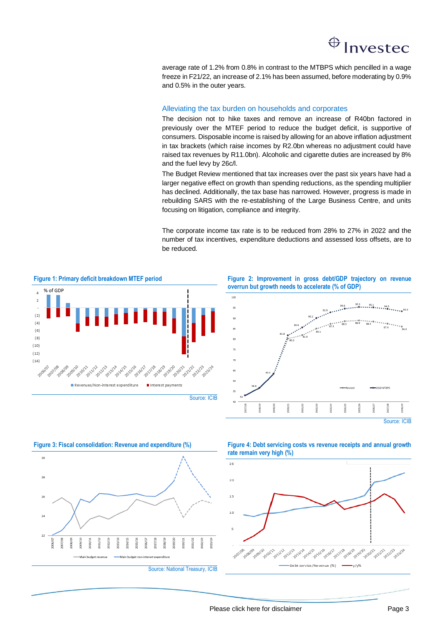# Investec

average rate of 1.2% from 0.8% in contrast to the MTBPS which pencilled in a wage freeze in F21/22, an increase of 2.1% has been assumed, before moderating by 0.9% and 0.5% in the outer years.

## Alleviating the tax burden on households and corporates

The decision not to hike taxes and remove an increase of R40bn factored in previously over the MTEF period to reduce the budget deficit, is supportive of consumers. Disposable income is raised by allowing for an above inflation adjustment in tax brackets (which raise incomes by R2.0bn whereas no adjustment could have raised tax revenues by R11.0bn). Alcoholic and cigarette duties are increased by 8% and the fuel levy by 26c/l.

The Budget Review mentioned that tax increases over the past six years have had a larger negative effect on growth than spending reductions, as the spending multiplier has declined. Additionally, the tax base has narrowed. However, progress is made in rebuilding SARS with the re-establishing of the Large Business Centre, and units focusing on litigation, compliance and integrity.

The corporate income tax rate is to be reduced from 28% to 27% in 2022 and the number of tax incentives, expenditure deductions and assessed loss offsets, are to be reduced.



**Figure 2: Improvement in gross debt/GDP trajectory on revenue overrun but growth needs to accelerate (% of GDP)**



**Figure 3: Fiscal consolidation: Revenue and expenditure (%)** 



**Figure 4: Debt servicing costs vs revenue receipts and annual growth rate remain very high (%)**

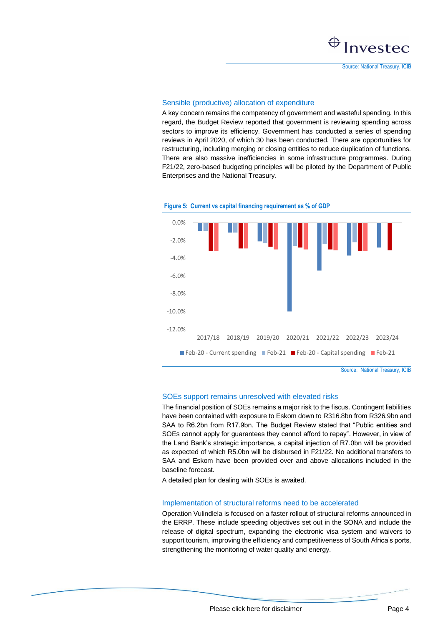Source: National Treasury, ICIB

## Sensible (productive) allocation of expenditure

A key concern remains the competency of government and wasteful spending. In this regard, the Budget Review reported that government is reviewing spending across sectors to improve its efficiency. Government has conducted a series of spending reviews in April 2020, of which 30 has been conducted. There are opportunities for restructuring, including merging or closing entities to reduce duplication of functions. There are also massive inefficiencies in some infrastructure programmes. During F21/22, zero-based budgeting principles will be piloted by the Department of Public Enterprises and the National Treasury.



#### **Figure 5: Current vs capital financing requirement as % of GDP**

### SOEs support remains unresolved with elevated risks

The financial position of SOEs remains a major risk to the fiscus. Contingent liabilities have been contained with exposure to Eskom down to R316.8bn from R326.9bn and SAA to R6.2bn from R17.9bn. The Budget Review stated that "Public entities and SOEs cannot apply for guarantees they cannot afford to repay". However, in view of the Land Bank's strategic importance, a capital injection of R7.0bn will be provided as expected of which R5.0bn will be disbursed in F21/22. No additional transfers to SAA and Eskom have been provided over and above allocations included in the baseline forecast.

A detailed plan for dealing with SOEs is awaited.

## Implementation of structural reforms need to be accelerated

Operation Vulindlela is focused on a faster rollout of structural reforms announced in the ERRP. These include speeding objectives set out in the SONA and include the release of digital spectrum, expanding the electronic visa system and waivers to support tourism, improving the efficiency and competitiveness of South Africa's ports, strengthening the monitoring of water quality and energy.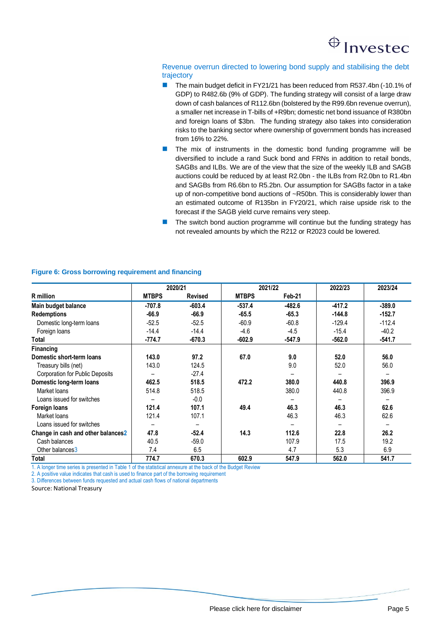# Investec

## Revenue overrun directed to lowering bond supply and stabilising the debt trajectory

- The main budget deficit in FY21/21 has been reduced from R537.4bn (-10.1% of GDP) to R482.6b (9% of GDP). The funding strategy will consist of a large draw down of cash balances of R112.6bn (bolstered by the R99.6bn revenue overrun), a smaller net increase in T-bills of +R9bn; domestic net bond issuance of R380bn and foreign loans of \$3bn. The funding strategy also takes into consideration risks to the banking sector where ownership of government bonds has increased from 16% to 22%.
- The mix of instruments in the domestic bond funding programme will be diversified to include a rand Suck bond and FRNs in addition to retail bonds, SAGBs and ILBs. We are of the view that the size of the weekly ILB and SAGB auctions could be reduced by at least R2.0bn - the ILBs from R2.0bn to R1.4bn and SAGBs from R6.6bn to R5.2bn. Our assumption for SAGBs factor in a take up of non-competitive bond auctions of ~R50bn. This is considerably lower than an estimated outcome of R135bn in FY20/21, which raise upside risk to the forecast if the SAGB yield curve remains very steep.
- The switch bond auction programme will continue but the funding strategy has not revealed amounts by which the R212 or R2023 could be lowered.

|                                        | 2020/21      |                | 2021/22      |          | 2022/23                  | 2023/24  |
|----------------------------------------|--------------|----------------|--------------|----------|--------------------------|----------|
| <b>R</b> million                       | <b>MTBPS</b> | <b>Revised</b> | <b>MTBPS</b> | Feb-21   |                          |          |
| Main budget balance                    | $-707.8$     | $-603.4$       | $-537.4$     | $-482.6$ | $-417.2$                 | $-389.0$ |
| <b>Redemptions</b>                     | $-66.9$      | $-66.9$        | $-65.5$      | $-65.3$  | $-144.8$                 | $-152.7$ |
| Domestic long-term loans               | $-52.5$      | $-52.5$        | $-60.9$      | $-60.8$  | $-129.4$                 | $-112.4$ |
| Foreign loans                          | $-14.4$      | $-14.4$        | $-4.6$       | $-4.5$   | $-15.4$                  | $-40.2$  |
| Total                                  | $-774.7$     | $-670.3$       | $-602.9$     | $-547.9$ | $-562.0$                 | $-541.7$ |
| <b>Financing</b>                       |              |                |              |          |                          |          |
| Domestic short-term loans              | 143.0        | 97.2           | 67.0         | 9.0      | 52.0                     | 56.0     |
| Treasury bills (net)                   | 143.0        | 124.5          |              | 9.0      | 52.0                     | 56.0     |
| <b>Corporation for Public Deposits</b> |              | $-27.4$        |              |          | $\overline{\phantom{0}}$ |          |
| Domestic long-term loans               | 462.5        | 518.5          | 472.2        | 380.0    | 440.8                    | 396.9    |
| Market loans                           | 514.8        | 518.5          |              | 380.0    | 440.8                    | 396.9    |
| Loans issued for switches              |              | $-0.0$         |              |          |                          |          |
| Foreign loans                          | 121.4        | 107.1          | 49.4         | 46.3     | 46.3                     | 62.6     |
| Market loans                           | 121.4        | 107.1          |              | 46.3     | 46.3                     | 62.6     |
| Loans issued for switches              |              |                |              |          |                          |          |
| Change in cash and other balances2     | 47.8         | $-52.4$        | 14.3         | 112.6    | 22.8                     | 26.2     |
| Cash balances                          | 40.5         | $-59.0$        |              | 107.9    | 17.5                     | 19.2     |
| Other balances3                        | 7.4          | 6.5            |              | 4.7      | 5.3                      | 6.9      |
| Total                                  | 774.7        | 670.3          | 602.9        | 547.9    | 562.0                    | 541.7    |

## **Figure 6: Gross borrowing requirement and financing**

1. A longer time series is presented in Table 1 of the statistical annexure at the back of the Budget Review

2. A positive value indicates that cash is used to finance part of the borrowing requirement

3. Differences between funds requested and actual cash flows of national departments

Source: National Treasury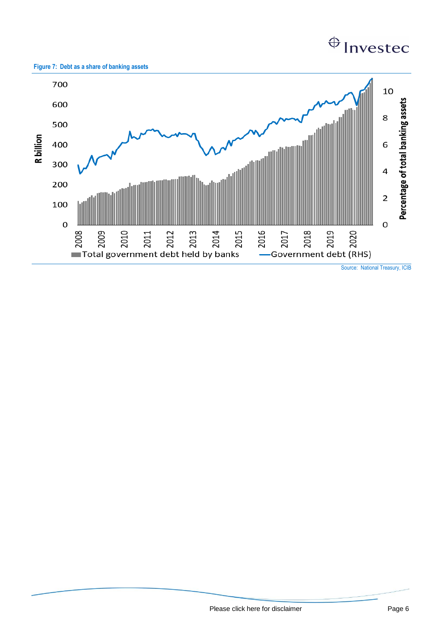# $\bigoplus$  Investec





[Please click here for disclaimer](http://researchpdf.investec.co.uk/documents/Economist/Disclaimer2018.pdf) example and page 6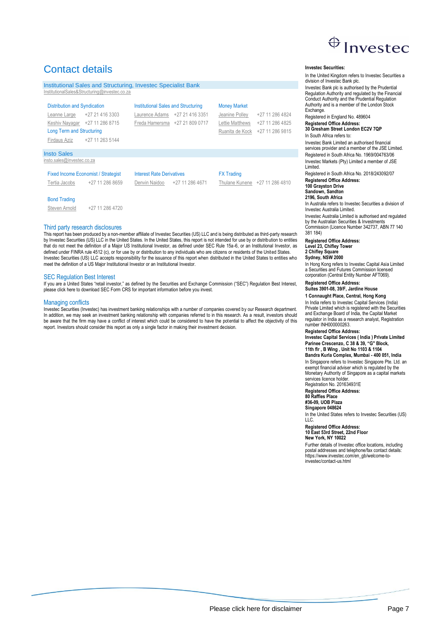

# Contact details

|                                     | Institutional Sales and Structuring, Invested Specialist Bank |                                            |                                |                     |                                |
|-------------------------------------|---------------------------------------------------------------|--------------------------------------------|--------------------------------|---------------------|--------------------------------|
|                                     | InstitutionalSales&Structuring@investec.co.za                 |                                            |                                |                     |                                |
|                                     |                                                               |                                            |                                |                     |                                |
| <b>Distribution and Syndication</b> |                                                               | <b>Institutional Sales and Structuring</b> |                                | <b>Money Market</b> |                                |
| Leanne Large                        | +27 21 416 3303                                               |                                            | Laurence Adams +27 21 416 3351 | Jeanine Polley      | +27 11 286 4824                |
|                                     | Keshiv Nayagar +27 11 286 8715                                |                                            | Freda Hamersma +27 21 809 0717 | Lettie Matthews     | +27 11 286 4825                |
| <b>Long Term and Structuring</b>    |                                                               |                                            |                                | Ruanita de Kock     | +27 11 286 9815                |
| Firdaus Aziz                        | +27 11 263 5144                                               |                                            |                                |                     |                                |
|                                     |                                                               |                                            |                                |                     |                                |
| <b>Insto Sales</b>                  |                                                               |                                            |                                |                     |                                |
| insto.sales@investec.co.za          |                                                               |                                            |                                |                     |                                |
|                                     |                                                               | <b>Interest Rate Derivatives</b>           |                                |                     |                                |
|                                     | <b>Fixed Income Economist / Strategist</b>                    |                                            |                                | <b>FX Trading</b>   |                                |
| Tertia Jacobs                       | +27 11 286 8659                                               | Denvin Naidoo                              | +27 11 286 4671                |                     | Thulane Kunene +27 11 286 4810 |
|                                     |                                                               |                                            |                                |                     |                                |
| <b>Bond Trading</b>                 |                                                               |                                            |                                |                     |                                |

[Steven Arnold](mailto:steven.arnold@investec.co.za) +27 11 286 4720

#### Third party research disclosures

This report has been produced by a non-member affiliate of Investec Securities (US) LLC and is being distributed as third-party research by Investec Securities (US) LLC in the United States. In the United States, this report is not intended for use by or distribution to entities that do not meet the definition of a Major US Institutional Investor, as defined under SEC Rule 15a-6, or an Institutional Investor, as defined under FINRA rule 4512 (c), or for use by or distribution to any individuals who are citizens or residents of the United States. Investec Securities (US) LLC accepts responsibility for the issuance of this report when distributed in the United States to entities who meet the definition of a US Major Institutional Investor or an Institutional Investor.

#### SEC Regulation Best Interest

If you are a United States "retail investor," as defined by the Securities and Exchange Commission ("SEC") Regulation Best Interest, please click here to download SEC Form CRS for important information before you invest.

#### Managing conflicts

Investec Securities (Investec) has investment banking relationships with a number of companies covered by our Research department. In addition, we may seek an investment banking relationship with companies referred to in this research. As a result, investors should be aware that the firm may have a conflict of interest which could be considered to have the potential to affect the objectivity of this report. Investors should consider this report as only a single factor in making their investment decision.

#### **Investec Securities:**

division of Investec Bank plc. Investec Bank plc is authorised by the Prudential Regulation Authority and regulated by the Financial Conduct Authority and the Prudential Regulation Authority and is a member of the London Stock **Exchange** Registered in England No. 489604 **Registered Office Address: 30 Gresham Street London EC2V 7QP** In South Africa refers to: Investec Bank Limited an authorised financial services provider and a member of the JSE Limited. Registered in South Africa No. 1969/004763/06 Investec Markets (Pty) Limited a member of JSE Limited. Registered in South Africa No. 2018/243092/07 **Registered Office Address:**

In the United Kingdom refers to Investec Securities a

**100 Grayston Drive Sandown, Sandton**

#### **2196, South Africa**

In Australia refers to Investec Securities a division of Investec Australia Limited.

Investec Australia Limited is authorised and regulated by the Australian Securities & Investments Commission (Licence Number 342737, ABN 77 140

381 184) **Registered Office Address: Level 23, Chifley Tower**

**2 Chifley Square Sydney, NSW 2000**

In Hong Kong refers to Investec Capital Asia Limited a Securities and Futures Commission licensed corporation (Central Entity Number AFT069).

#### **Registered Office Address: Suites 3901-08, 39/F, Jardine House**

**1 Connaught Place, Central, Hong Kong**

In India refers to Investec Capital Services (India) Private Limited which is registered with the Securities and Exchange Board of India, the Capital Market regulator in India as a research analyst, Registration number INH000000263.

#### **Registered Office Address:**

**Investec Capital Services ( India ) Private Limited Parinee Crescenzo, C 38 & 39, "G" Block, 11th flr , B Wing , Unit No 1103 & 1104**

**Bandra Kurla Complex, Mumbai - 400 051, India** In Singapore refers to Investec Singapore Pte. Ltd. an exempt financial adviser which is regulated by the Monetary Authority of Singapore as a capital markets services licence holder.

Registration No. 201634931E

**Registered Office Address: 80 Raffles Place**

**#36-09, UOB Plaza**

#### **Singapore 048624**

In the United States refers to Investec Securities (US) LLC.

**Registered Office Address: 10 East 53rd Street, 22nd Floor New York, NY 10022**

Further details of Investec office locations, including postal addresses and telephone/fax contact details: https://www.investec.com/en\_gb/welcome-toinvestec/contact-us.html